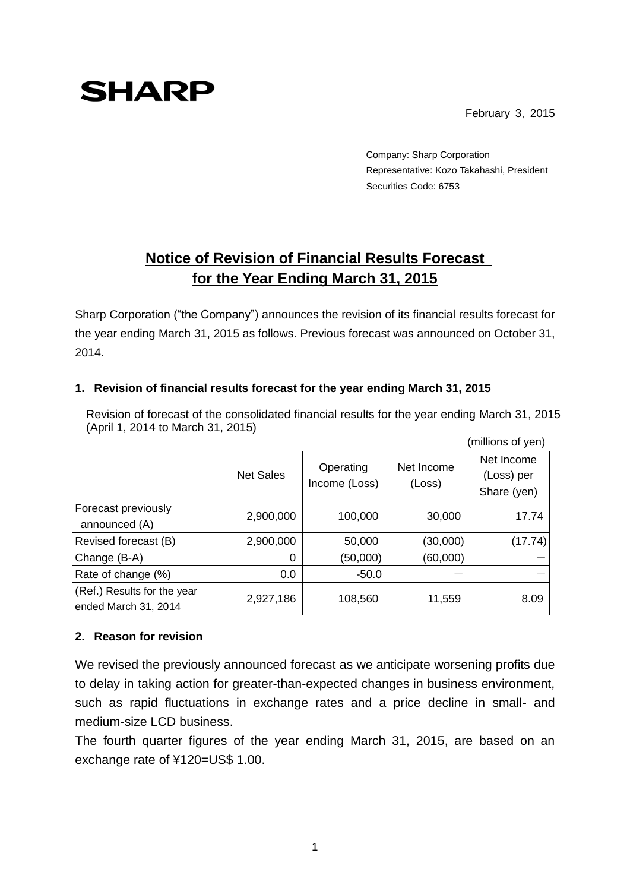## **SHARP**

February 3, 2015

(millions of yen)

Company: Sharp Corporation Representative: Kozo Takahashi, President Securities Code: 6753

## **Notice of Revision of Financial Results Forecast for the Year Ending March 31, 2015**

Sharp Corporation ("the Company") announces the revision of its financial results forecast for the year ending March 31, 2015 as follows. Previous forecast was announced on October 31, 2014.

## **1. Revision of financial results forecast for the year ending March 31, 2015**

Revision of forecast of the consolidated financial results for the year ending March 31, 2015 (April 1, 2014 to March 31, 2015)

|                                                     | <b>Net Sales</b> | Operating<br>Income (Loss) | Net Income<br>(Loss) | Net Income<br>(Loss) per<br>Share (yen) |
|-----------------------------------------------------|------------------|----------------------------|----------------------|-----------------------------------------|
| Forecast previously<br>announced (A)                | 2,900,000        | 100,000                    | 30,000               | 17.74                                   |
| <b>Revised forecast (B)</b>                         | 2,900,000        | 50,000                     | (30,000)             | (17.74)                                 |
| Change (B-A)                                        | 0                | (50,000)                   | (60,000)             |                                         |
| Rate of change (%)                                  | 0.0              | $-50.0$                    |                      |                                         |
| (Ref.) Results for the year<br>ended March 31, 2014 | 2,927,186        | 108,560                    | 11,559               | 8.09                                    |

## **2. Reason for revision**

We revised the previously announced forecast as we anticipate worsening profits due to delay in taking action for greater-than-expected changes in business environment, such as rapid fluctuations in exchange rates and a price decline in small- and medium-size LCD business.

The fourth quarter figures of the year ending March 31, 2015, are based on an exchange rate of ¥120=US\$ 1.00.